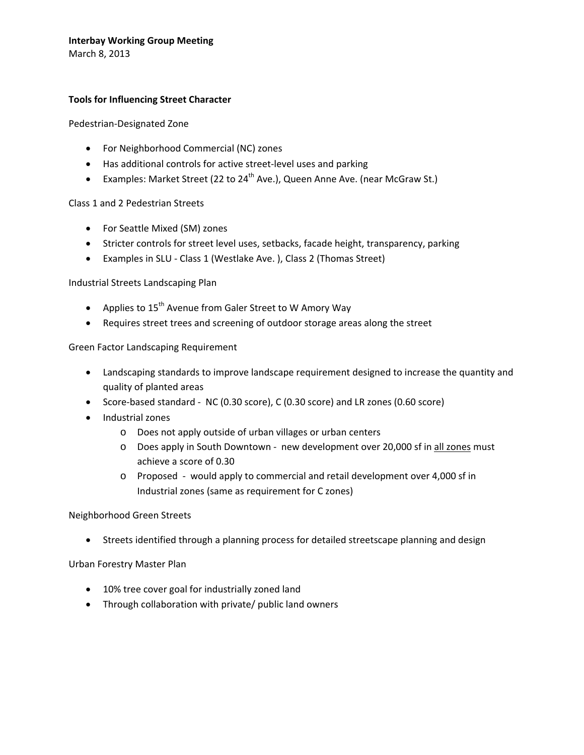### **Interbay Working Group Meeting**

March 8, 2013

#### **Tools for Influencing Street Character**

Pedestrian‐Designated Zone

- For Neighborhood Commercial (NC) zones
- Has additional controls for active street‐level uses and parking
- Examples: Market Street (22 to  $24<sup>th</sup>$  Ave.), Queen Anne Ave. (near McGraw St.)

#### Class 1 and 2 Pedestrian Streets

- For Seattle Mixed (SM) zones
- Stricter controls for street level uses, setbacks, facade height, transparency, parking
- Examples in SLU ‐ Class 1 (Westlake Ave. ), Class 2 (Thomas Street)

Industrial Streets Landscaping Plan

- Applies to  $15<sup>th</sup>$  Avenue from Galer Street to W Amory Way
- Requires street trees and screening of outdoor storage areas along the street

Green Factor Landscaping Requirement

- Landscaping standards to improve landscape requirement designed to increase the quantity and quality of planted areas
- Score‐based standard ‐ NC (0.30 score), C (0.30 score) and LR zones (0.60 score)
- Industrial zones
	- o Does not apply outside of urban villages or urban centers
	- o Does apply in South Downtown new development over 20,000 sf in all zones must achieve a score of 0.30
	- o Proposed ‐ would apply to commercial and retail development over 4,000 sf in Industrial zones (same as requirement for C zones)

#### Neighborhood Green Streets

• Streets identified through a planning process for detailed streetscape planning and design

Urban Forestry Master Plan

- 10% tree cover goal for industrially zoned land
- Through collaboration with private/ public land owners